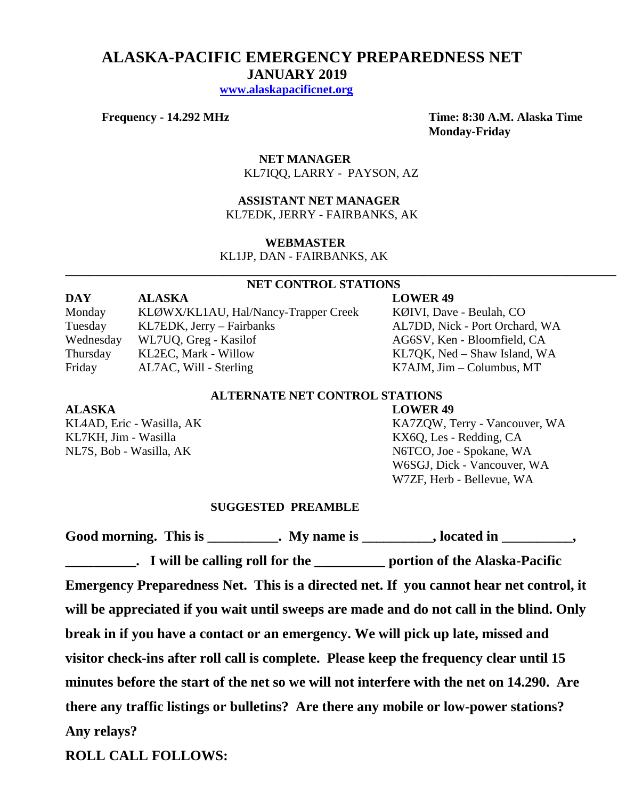# **ALASKA-PACIFIC EMERGENCY PREPAREDNESS NET JANUARY 2019**

 **[www.alaskapacificnet.org](http://www.alaskapacificnet.org/)**

**Frequency - 14.292 MHz Time: 8:30 A.M. Alaska Time Monday-Friday**

> **NET MANAGER** KL7IQQ, LARRY - PAYSON, AZ

 **ASSISTANT NET MANAGER**  KL7EDK, JERRY - FAIRBANKS, AK

#### **WEBMASTER**

KL1JP, DAN - FAIRBANKS, AK

### **NET CONTROL STATIONS**

**\_\_\_\_\_\_\_\_\_\_\_\_\_\_\_\_\_\_\_\_\_\_\_\_\_\_\_\_\_\_\_\_\_\_\_\_\_\_\_\_\_\_\_\_\_\_\_\_\_\_\_\_\_\_\_\_\_\_\_\_\_\_\_\_\_\_\_\_\_\_\_\_\_\_\_\_\_\_\_\_\_\_\_\_\_\_\_\_\_\_\_**

**DAY ALASKA LOWER 49** Monday KLØWX/KL1AU, Hal/Nancy-Trapper Creek KØIVI, Dave - Beulah, CO Tuesday KL7EDK, Jerry – Fairbanks AL7DD, Nick - Port Orchard, WA Wednesday WL7UQ, Greg - Kasilof AG6SV, Ken - Bloomfield, CA Thursday KL2EC, Mark - Willow KL7QK, Ned – Shaw Island, WA Friday AL7AC, Will - Sterling K7AJM, Jim – Columbus, MT

#### **ALASKA LOWER 49**

KL7KH, Jim - Wasilla<br>
NL7S. Bob - Wasilla, AK<br>
NGTCO, Joe - Spokane, W.

## **ALTERNATE NET CONTROL STATIONS**

KL4AD, Eric - Wasilla, AK KA7ZQW, Terry - Vancouver, WA N6TCO, Joe - Spokane, WA W6SGJ, Dick - Vancouver, WA W7ZF, Herb - Bellevue, WA

### **SUGGESTED PREAMBLE**

Good morning. This is \_\_\_\_\_\_\_\_\_\_. My name is \_\_\_\_\_\_\_\_\_, located in \_\_\_\_\_\_\_\_\_,

**\_\_\_\_\_\_\_\_\_\_. I will be calling roll for the \_\_\_\_\_\_\_\_\_\_ portion of the Alaska-Pacific Emergency Preparedness Net. This is a directed net. If you cannot hear net control, it will be appreciated if you wait until sweeps are made and do not call in the blind. Only break in if you have a contact or an emergency. We will pick up late, missed and visitor check-ins after roll call is complete. Please keep the frequency clear until 15 minutes before the start of the net so we will not interfere with the net on 14.290. Are there any traffic listings or bulletins? Are there any mobile or low-power stations? Any relays?** 

**ROLL CALL FOLLOWS:**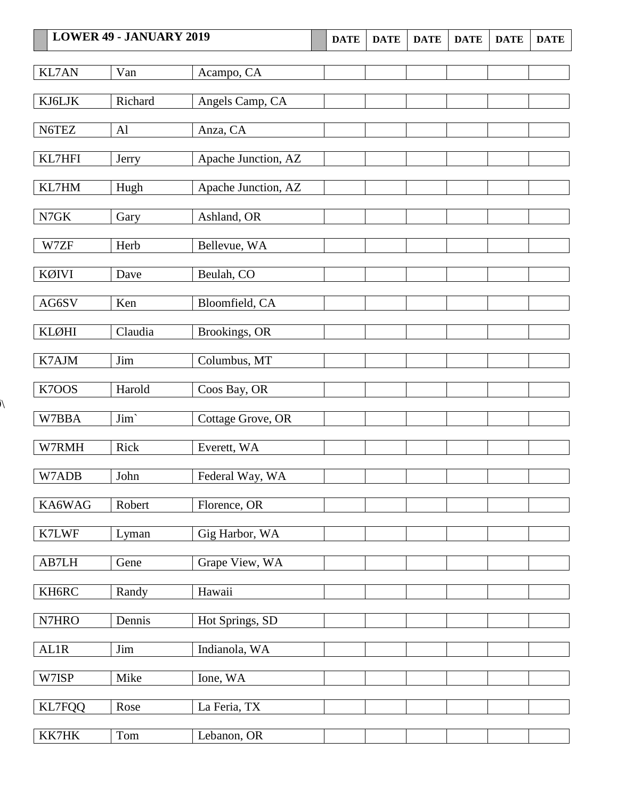| <b>LOWER 49 - JANUARY 2019</b> |                       | <b>DATE</b>         | <b>DATE</b> | <b>DATE</b> | <b>DATE</b> | <b>DATE</b> | <b>DATE</b> |  |
|--------------------------------|-----------------------|---------------------|-------------|-------------|-------------|-------------|-------------|--|
| <b>KL7AN</b>                   | Van                   | Acampo, CA          |             |             |             |             |             |  |
| KJ6LJK                         | Richard               | Angels Camp, CA     |             |             |             |             |             |  |
| N6TEZ                          | A1                    | Anza, CA            |             |             |             |             |             |  |
| KL7HFI                         | Jerry                 | Apache Junction, AZ |             |             |             |             |             |  |
| KL7HM                          | Hugh                  | Apache Junction, AZ |             |             |             |             |             |  |
| N7GK                           | Gary                  | Ashland, OR         |             |             |             |             |             |  |
| W7ZF                           | Herb                  | Bellevue, WA        |             |             |             |             |             |  |
| <b>KØIVI</b>                   | Dave                  | Beulah, CO          |             |             |             |             |             |  |
| AG6SV                          | Ken                   | Bloomfield, CA      |             |             |             |             |             |  |
| <b>KLØHI</b>                   | Claudia               | Brookings, OR       |             |             |             |             |             |  |
| K7AJM                          | Jim                   | Columbus, MT        |             |             |             |             |             |  |
| K7OOS                          | Harold                | Coos Bay, OR        |             |             |             |             |             |  |
| W7BBA                          | Jim                   | Cottage Grove, OR   |             |             |             |             |             |  |
| W7RMH                          | Rick                  | Everett, WA         |             |             |             |             |             |  |
| W7ADB                          | John                  | Federal Way, WA     |             |             |             |             |             |  |
| KA6WAG                         | Robert                | Florence, OR        |             |             |             |             |             |  |
| K7LWF                          | Lyman                 | Gig Harbor, WA      |             |             |             |             |             |  |
| AB7LH                          | Gene                  | Grape View, WA      |             |             |             |             |             |  |
| KH6RC                          | Randy                 | Hawaii              |             |             |             |             |             |  |
| N7HRO                          | Dennis                | Hot Springs, SD     |             |             |             |             |             |  |
| AL1R                           | $\mathop{\text{Jim}}$ | Indianola, WA       |             |             |             |             |             |  |
| W7ISP                          | Mike                  | Ione, WA            |             |             |             |             |             |  |
| <b>KL7FQQ</b>                  | Rose                  | La Feria, TX        |             |             |             |             |             |  |
| KK7HK                          | Tom                   | Lebanon, OR         |             |             |             |             |             |  |

 $\lambda$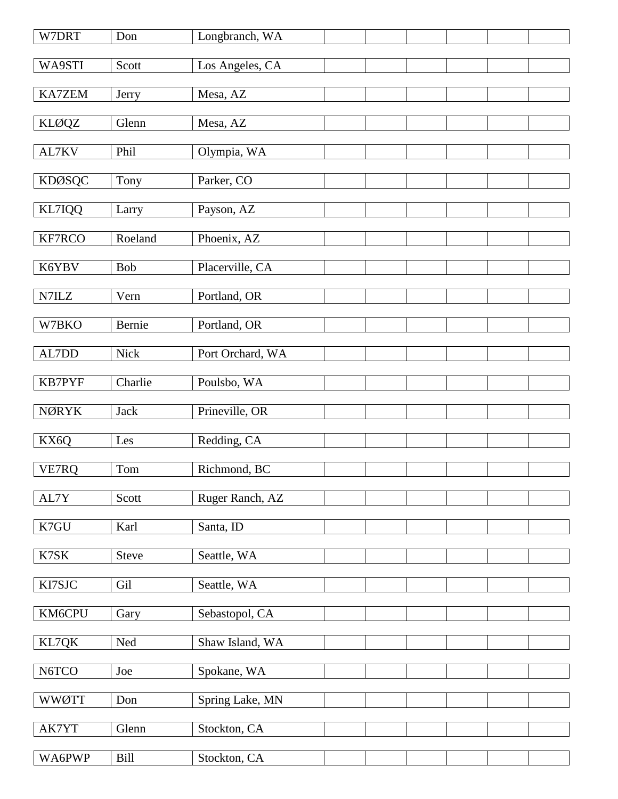| W7DRT                              | Don          | Longbranch, WA   |  |  |
|------------------------------------|--------------|------------------|--|--|
| WA9STI                             | Scott        | Los Angeles, CA  |  |  |
| KA7ZEM                             | Jerry        | Mesa, AZ         |  |  |
| <b>KLØQZ</b>                       | Glenn        | Mesa, AZ         |  |  |
|                                    |              |                  |  |  |
| AL7KV                              | Phil         | Olympia, WA      |  |  |
| <b>KDØSQC</b>                      | Tony         | Parker, CO       |  |  |
| KL7IQQ                             | Larry        | Payson, AZ       |  |  |
| KF7RCO                             | Roeland      | Phoenix, AZ      |  |  |
| K6YBV                              | Bob          | Placerville, CA  |  |  |
| $\ensuremath{\text{N7}\text{ILZ}}$ | Vern         | Portland, OR     |  |  |
| W7BKO                              | Bernie       | Portland, OR     |  |  |
| AL7DD                              | Nick         | Port Orchard, WA |  |  |
|                                    |              |                  |  |  |
| KB7PYF                             | Charlie      | Poulsbo, WA      |  |  |
| <b>NØRYK</b>                       | <b>Jack</b>  | Prineville, OR   |  |  |
| KX6Q                               | Les          | Redding, CA      |  |  |
| VE7RQ                              | Tom          | Richmond, BC     |  |  |
| AL7Y                               | Scott        | Ruger Ranch, AZ  |  |  |
| K7GU                               | Karl         | Santa, ID        |  |  |
| K7SK                               | <b>Steve</b> | Seattle, WA      |  |  |
| KI7SJC                             | Gil          | Seattle, WA      |  |  |
| KM6CPU                             | Gary         | Sebastopol, CA   |  |  |
| KL7QK                              | Ned          | Shaw Island, WA  |  |  |
| N6TCO                              | Joe          | Spokane, WA      |  |  |
| <b>WWØTT</b>                       | Don          | Spring Lake, MN  |  |  |
| AK7YT                              | Glenn        | Stockton, CA     |  |  |
| <b>WA6PWP</b>                      | Bill         | Stockton, CA     |  |  |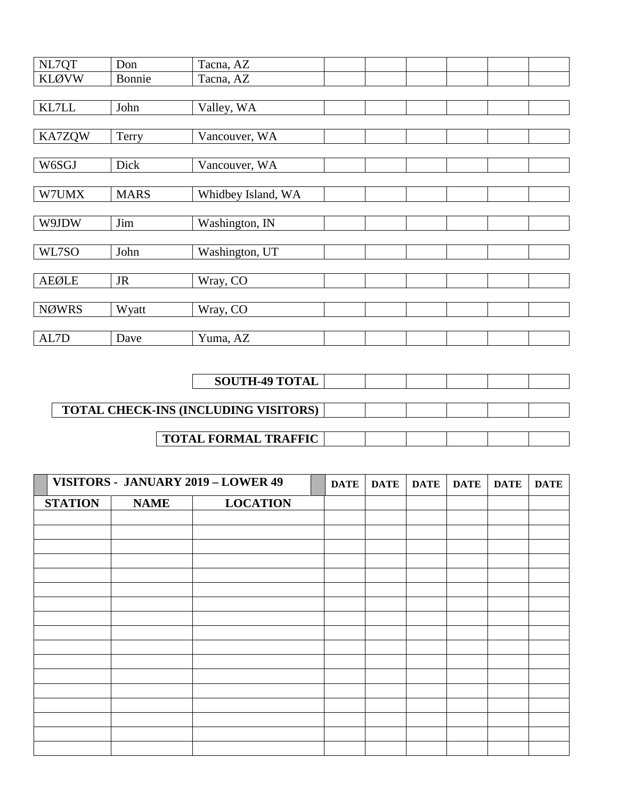| NL7QT        | Don         | Tacna, AZ          |  |
|--------------|-------------|--------------------|--|
| <b>KLØVW</b> | Bonnie      | Tacna, AZ          |  |
|              |             |                    |  |
| KL7LL        | John        | Valley, WA         |  |
|              |             |                    |  |
| KA7ZQW       | Terry       | Vancouver, WA      |  |
|              |             |                    |  |
| W6SGJ        | Dick        | Vancouver, WA      |  |
|              |             |                    |  |
| W7UMX        | <b>MARS</b> | Whidbey Island, WA |  |
|              |             |                    |  |
| W9JDW        | Jim         | Washington, IN     |  |
|              |             |                    |  |
| WL7SO        | John        | Washington, UT     |  |
|              |             |                    |  |
| <b>AEØLE</b> | <b>JR</b>   | Wray, CO           |  |
|              |             |                    |  |
| <b>NØWRS</b> | Wyatt       | Wray, CO           |  |
|              |             |                    |  |
| AL7D         | Dave        | Yuma, AZ           |  |

|                                             | <b>SOUTH-49 TOTAL</b>       |  |  |  |  |
|---------------------------------------------|-----------------------------|--|--|--|--|
|                                             |                             |  |  |  |  |
| <b>TOTAL CHECK-INS (INCLUDING VISITORS)</b> |                             |  |  |  |  |
|                                             |                             |  |  |  |  |
|                                             | <b>TOTAL FORMAL TRAFFIC</b> |  |  |  |  |

|                | VISITORS - JANUARY 2019 - LOWER 49 |                 | <b>DATE</b> | <b>DATE</b> | <b>DATE</b> | <b>DATE</b> | <b>DATE</b> | <b>DATE</b> |
|----------------|------------------------------------|-----------------|-------------|-------------|-------------|-------------|-------------|-------------|
| <b>STATION</b> | <b>NAME</b>                        | <b>LOCATION</b> |             |             |             |             |             |             |
|                |                                    |                 |             |             |             |             |             |             |
|                |                                    |                 |             |             |             |             |             |             |
|                |                                    |                 |             |             |             |             |             |             |
|                |                                    |                 |             |             |             |             |             |             |
|                |                                    |                 |             |             |             |             |             |             |
|                |                                    |                 |             |             |             |             |             |             |
|                |                                    |                 |             |             |             |             |             |             |
|                |                                    |                 |             |             |             |             |             |             |
|                |                                    |                 |             |             |             |             |             |             |
|                |                                    |                 |             |             |             |             |             |             |
|                |                                    |                 |             |             |             |             |             |             |
|                |                                    |                 |             |             |             |             |             |             |
|                |                                    |                 |             |             |             |             |             |             |
|                |                                    |                 |             |             |             |             |             |             |
|                |                                    |                 |             |             |             |             |             |             |
|                |                                    |                 |             |             |             |             |             |             |
|                |                                    |                 |             |             |             |             |             |             |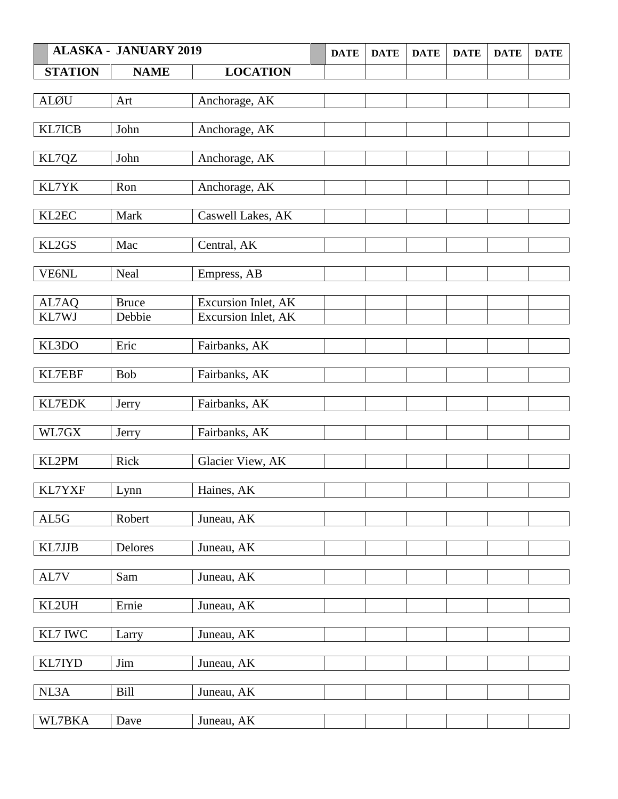|                | <b>ALASKA - JANUARY 2019</b> |                            | <b>DATE</b> | <b>DATE</b> | <b>DATE</b> | <b>DATE</b> | <b>DATE</b> | <b>DATE</b> |
|----------------|------------------------------|----------------------------|-------------|-------------|-------------|-------------|-------------|-------------|
| <b>STATION</b> | <b>NAME</b>                  | <b>LOCATION</b>            |             |             |             |             |             |             |
|                |                              |                            |             |             |             |             |             |             |
| ALØU           | Art                          | Anchorage, AK              |             |             |             |             |             |             |
|                |                              |                            |             |             |             |             |             |             |
| <b>KL7ICB</b>  | John                         | Anchorage, AK              |             |             |             |             |             |             |
| KL7QZ          | John                         | Anchorage, AK              |             |             |             |             |             |             |
|                |                              |                            |             |             |             |             |             |             |
| KL7YK          | Ron                          | Anchorage, AK              |             |             |             |             |             |             |
|                |                              |                            |             |             |             |             |             |             |
| KL2EC          | Mark                         | Caswell Lakes, AK          |             |             |             |             |             |             |
|                |                              |                            |             |             |             |             |             |             |
| KL2GS          | Mac                          | Central, AK                |             |             |             |             |             |             |
| VE6NL          | Neal                         | Empress, AB                |             |             |             |             |             |             |
|                |                              |                            |             |             |             |             |             |             |
| AL7AQ          | <b>Bruce</b>                 | <b>Excursion Inlet, AK</b> |             |             |             |             |             |             |
| KL7WJ          | Debbie                       | Excursion Inlet, AK        |             |             |             |             |             |             |
|                |                              |                            |             |             |             |             |             |             |
| KL3DO          | Eric                         | Fairbanks, AK              |             |             |             |             |             |             |
| KL7EBF         | <b>Bob</b>                   | Fairbanks, AK              |             |             |             |             |             |             |
|                |                              |                            |             |             |             |             |             |             |
| <b>KL7EDK</b>  | Jerry                        | Fairbanks, AK              |             |             |             |             |             |             |
|                |                              |                            |             |             |             |             |             |             |
| WL7GX          | Jerry                        | Fairbanks, AK              |             |             |             |             |             |             |
|                |                              |                            |             |             |             |             |             |             |
| KL2PM          | Rick                         | Glacier View, AK           |             |             |             |             |             |             |
| KL7YXF         | Lynn                         | Haines, AK                 |             |             |             |             |             |             |
|                |                              |                            |             |             |             |             |             |             |
| AL5G           | Robert                       | Juneau, AK                 |             |             |             |             |             |             |
|                |                              |                            |             |             |             |             |             |             |
| KL7JJB         | Delores                      | Juneau, AK                 |             |             |             |             |             |             |
| AL7V           | Sam                          | Juneau, AK                 |             |             |             |             |             |             |
|                |                              |                            |             |             |             |             |             |             |
| KL2UH          | Ernie                        | Juneau, AK                 |             |             |             |             |             |             |
|                |                              |                            |             |             |             |             |             |             |
| KL7 IWC        | Larry                        | Juneau, AK                 |             |             |             |             |             |             |
|                |                              |                            |             |             |             |             |             |             |
| KL7IYD         | $\mathop{\text{Jim}}$        | Juneau, AK                 |             |             |             |             |             |             |
| NL3A           | Bill                         | Juneau, AK                 |             |             |             |             |             |             |
|                |                              |                            |             |             |             |             |             |             |
| WL7BKA         | Dave                         | Juneau, AK                 |             |             |             |             |             |             |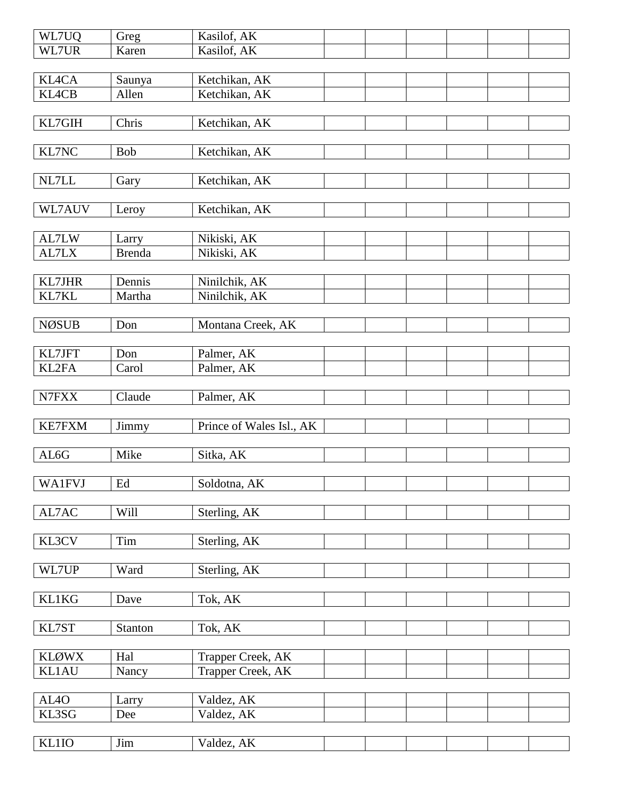| WL7UQ             | Greg                | Kasilof, AK              |  |  |  |
|-------------------|---------------------|--------------------------|--|--|--|
| WL7UR             | Karen               | Kasilof, AK              |  |  |  |
|                   |                     |                          |  |  |  |
| <b>KL4CA</b>      | Saunya              | Ketchikan, AK            |  |  |  |
| <b>KL4CB</b>      | Allen               | Ketchikan, AK            |  |  |  |
|                   |                     |                          |  |  |  |
| KL7GIH            | Chris               | Ketchikan, AK            |  |  |  |
|                   |                     |                          |  |  |  |
| KL7NC             | <b>Bob</b>          | Ketchikan, AK            |  |  |  |
|                   |                     |                          |  |  |  |
| NL7LL             | Gary                | Ketchikan, AK            |  |  |  |
|                   |                     |                          |  |  |  |
| WL7AUV            | Leroy               | Ketchikan, AK            |  |  |  |
|                   |                     |                          |  |  |  |
| AL7LW             | Larry               | Nikiski, AK              |  |  |  |
| AL7LX             | <b>Brenda</b>       | Nikiski, AK              |  |  |  |
|                   |                     |                          |  |  |  |
| <b>KL7JHR</b>     | Dennis              | Ninilchik, AK            |  |  |  |
| KL7KL             | Martha              | Ninilchik, AK            |  |  |  |
|                   |                     |                          |  |  |  |
| <b>NØSUB</b>      | Don                 | Montana Creek, AK        |  |  |  |
|                   |                     |                          |  |  |  |
| KL7JFT            | Don                 | Palmer, AK               |  |  |  |
| KL2FA             | Carol               | Palmer, AK               |  |  |  |
|                   |                     |                          |  |  |  |
| N7FXX             | Claude              | Palmer, AK               |  |  |  |
|                   |                     |                          |  |  |  |
| <b>KE7FXM</b>     | Jimmy               | Prince of Wales Isl., AK |  |  |  |
|                   |                     |                          |  |  |  |
| AL6G              | Mike                | Sitka, AK                |  |  |  |
|                   |                     |                          |  |  |  |
| <b>WA1FVJ</b>     | $\operatorname{Ed}$ | Soldotna, AK             |  |  |  |
|                   |                     |                          |  |  |  |
| AL7AC             | Will                | Sterling, AK             |  |  |  |
|                   |                     |                          |  |  |  |
| KL3CV             | Tim                 | Sterling, AK             |  |  |  |
|                   |                     |                          |  |  |  |
| WL7UP             | Ward                | Sterling, AK             |  |  |  |
|                   |                     |                          |  |  |  |
| <b>KL1KG</b>      | Dave                | Tok, AK                  |  |  |  |
|                   |                     |                          |  |  |  |
| KL7ST             | Stanton             | Tok, AK                  |  |  |  |
|                   |                     |                          |  |  |  |
| <b>KLØWX</b>      | Hal                 | Trapper Creek, AK        |  |  |  |
| KL1AU             | Nancy               | Trapper Creek, AK        |  |  |  |
|                   |                     |                          |  |  |  |
| AL <sub>4</sub> O | Larry               | Valdez, AK               |  |  |  |
| KL3SG             | Dee                 | Valdez, AK               |  |  |  |
|                   |                     |                          |  |  |  |
| <b>KL1IO</b>      | Jim                 | Valdez, AK               |  |  |  |
|                   |                     |                          |  |  |  |